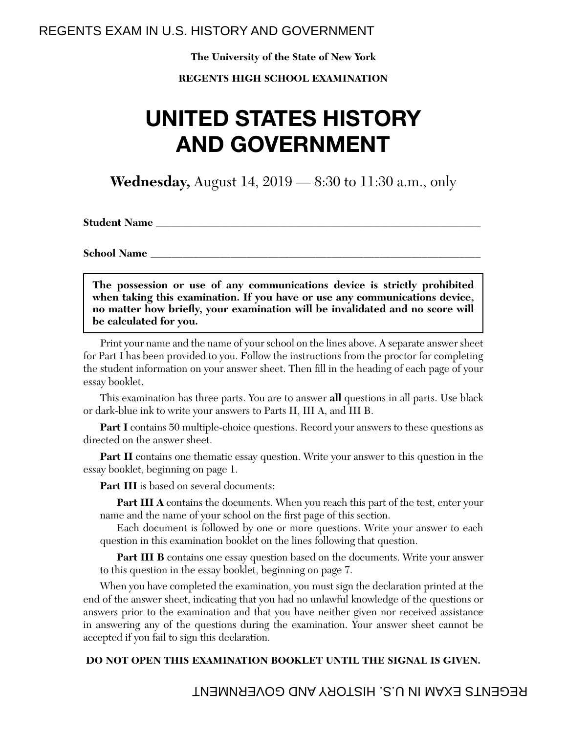# REGENTS EXAM IN U.S. HISTORY AND GOVERNMENT

# **The University of the State of New York**

# **REGENTS HIGH SCHOOL EXAMINATION**

# **UNITED STATES HISTORYAND GOVERNMENT**

**Wednesday,** August 14, 2019 — 8:30 to 11:30 a.m., only

**Student Name \_\_\_\_\_\_\_\_\_\_\_\_\_\_\_\_\_\_\_\_\_\_\_\_\_\_\_\_\_\_\_\_\_\_\_\_\_\_\_\_\_\_\_\_\_\_\_\_\_\_\_\_\_\_\_\_\_\_\_\_\_**

**School Name \_\_\_\_\_\_\_\_\_\_\_\_\_\_\_\_\_\_\_\_\_\_\_\_\_\_\_\_\_\_\_\_\_\_\_\_\_\_\_\_\_\_\_\_\_\_\_\_\_\_\_\_\_\_\_\_\_\_\_\_\_\_**

**The possession or use of any communications device is strictly prohibited when taking this examination. If you have or use any communications device,**  no matter how briefly, your examination will be invalidated and no score will **be calculated for you.**

Print your name and the name of your school on the lines above. A separate answer sheet for Part I has been provided to you. Follow the instructions from the proctor for completing the student information on your answer sheet. Then fill in the heading of each page of your essay booklet.

This examination has three parts. You are to answer **all** questions in all parts. Use black or dark-blue ink to write your answers to Parts II, III A, and III B.

**Part I** contains 50 multiple-choice questions. Record your answers to these questions as directed on the answer sheet.

**Part II** contains one thematic essay question. Write your answer to this question in the essay booklet, beginning on page 1.

**Part III** is based on several documents:

**Part III A** contains the documents. When you reach this part of the test, enter your name and the name of your school on the first page of this section.

Each document is followed by one or more questions. Write your answer to each question in this examination booklet on the lines following that question.

Part III B contains one essay question based on the documents. Write your answer to this question in the essay booklet, beginning on page 7.

When you have completed the examination, you must sign the declaration printed at the end of the answer sheet, indicating that you had no unlawful knowledge of the questions or answers prior to the examination and that you have neither given nor received assistance in answering any of the questions during the examination. Your answer sheet cannot be accepted if you fail to sign this declaration.

#### **DO NOT OPEN THIS EXAMINATION BOOKLET UNTIL THE SIGNAL IS GIVEN.**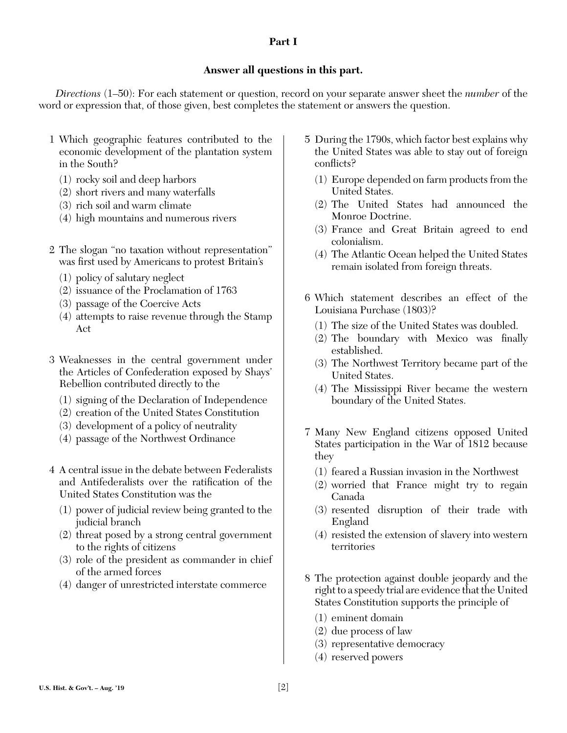#### **Part I**

#### **Answer all questions in this part.**

*Directions* (1–50): For each statement or question, record on your separate answer sheet the *number* of the word or expression that, of those given, best completes the statement or answers the question.

- 1 Which geographic features contributed to the economic development of the plantation system in the South?
	- (1) rocky soil and deep harbors
	- (2) short rivers and many waterfalls
	- (3) rich soil and warm climate
	- (4) high mountains and numerous rivers
- 2 The slogan "no taxation without representation" was first used by Americans to protest Britain's
	- (1) policy of salutary neglect
	- (2) issuance of the Proclamation of 1763
	- (3) passage of the Coercive Acts
	- (4) attempts to raise revenue through the Stamp Act
- 3 Weaknesses in the central government under the Articles of Confederation exposed by Shays' Rebellion contributed directly to the
	- (1) signing of the Declaration of Independence
	- (2) creation of the United States Constitution
	- (3) development of a policy of neutrality
	- (4) passage of the Northwest Ordinance
- 4 A central issue in the debate between Federalists and Antifederalists over the ratification of the United States Constitution was the
	- (1) power of judicial review being granted to the judicial branch
	- (2) threat posed by a strong central government to the rights of citizens
	- (3) role of the president as commander in chief of the armed forces
	- (4) danger of unrestricted interstate commerce
- 5 During the 1790s, which factor best explains why the United States was able to stay out of foreign conflicts?
	- (1) Europe depended on farm products from the United States.
	- (2) The United States had announced the Monroe Doctrine.
	- (3) France and Great Britain agreed to end colonialism.
	- (4) The Atlantic Ocean helped the United States remain isolated from foreign threats.
- 6 Which statement describes an effect of the Louisiana Purchase (1803)?
	- (1) The size of the United States was doubled.
	- $(2)$  The boundary with Mexico was finally established.
	- (3) The Northwest Territory became part of the United States.
	- (4) The Mississippi River became the western boundary of the United States.
- 7 Many New England citizens opposed United States participation in the War of 1812 because they
	- (1) feared a Russian invasion in the Northwest
	- (2) worried that France might try to regain Canada
	- (3) resented disruption of their trade with England
	- (4) resisted the extension of slavery into western territories
- 8 The protection against double jeopardy and the right to a speedy trial are evidence that the United States Constitution supports the principle of
	- (1) eminent domain
	- (2) due process of law
	- (3) representative democracy
	- (4) reserved powers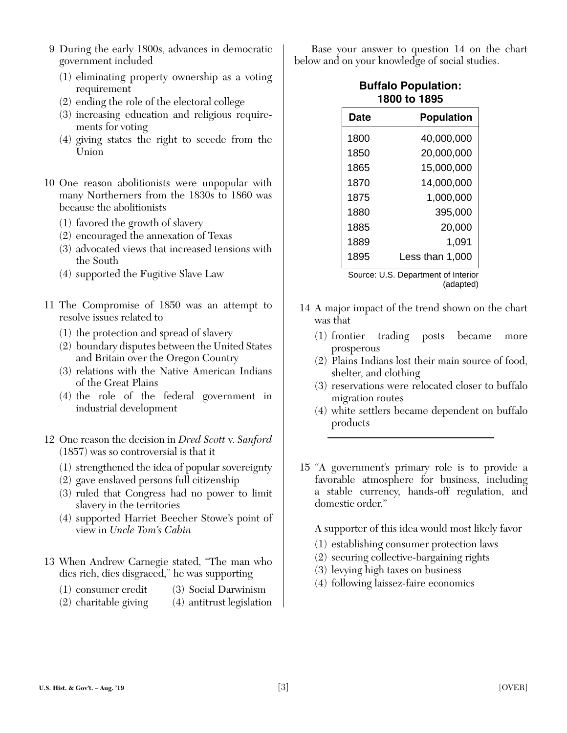- 9 During the early 1800s, advances in democratic government included
	- (1) eliminating property ownership as a voting requirement
	- (2) ending the role of the electoral college
	- (3) increasing education and religious requirements for voting
	- (4) giving states the right to secede from the Union
- 10 One reason abolitionists were unpopular with many Northerners from the 1830s to 1860 was because the abolitionists
	- (1) favored the growth of slavery
	- (2) encouraged the annexation of Texas
	- (3) advocated views that increased tensions with the South
	- (4) supported the Fugitive Slave Law
- 11 The Compromise of 1850 was an attempt to resolve issues related to
	- (1) the protection and spread of slavery
	- (2) boundary disputes between the United States and Britain over the Oregon Country
	- (3) relations with the Native American Indians of the Great Plains
	- (4) the role of the federal government in industrial development
- 12 One reason the decision in *Dred Scott* v. *Sanford*  (1857) was so controversial is that it
	- (1) strengthened the idea of popular sovereignty
	- (2) gave enslaved persons full citizenship
	- (3) ruled that Congress had no power to limit slavery in the territories
	- (4) supported Harriet Beecher Stowe's point of view in *Uncle Tom's Cabin*
- 13 When Andrew Carnegie stated, "The man who dies rich, dies disgraced," he was supporting
	- (1) consumer credit (3) Social Darwinism
	- $(2)$  charitable giving  $(4)$  antitrust legislation

Base your answer to question 14 on the chart below and on your knowledge of social studies.

# **Buffalo Population: 1800 to 1895**

| Date | <b>Population</b> |
|------|-------------------|
| 1800 | 40,000,000        |
| 1850 | 20,000,000        |
| 1865 | 15,000,000        |
| 1870 | 14,000,000        |
| 1875 | 1,000,000         |
| 1880 | 395,000           |
| 1885 | 20,000            |
| 1889 | 1,091             |
| 1895 | Less than 1,000   |

Source: U.S. Department of Interior (adapted)

- 14 A major impact of the trend shown on the chart was that
	- (1) frontier trading posts became more prosperous
	- (2) Plains Indians lost their main source of food, shelter, and clothing
	- (3) reservations were relocated closer to buffalo migration routes
	- (4) white settlers became dependent on buffalo products
- 15 "A government's primary role is to provide a favorable atmosphere for business, including a stable currency, hands-off regulation, and domestic order."

A supporter of this idea would most likely favor

- (1) establishing consumer protection laws
- (2) securing collective-bargaining rights
- (3) levying high taxes on business
- (4) following laissez-faire economics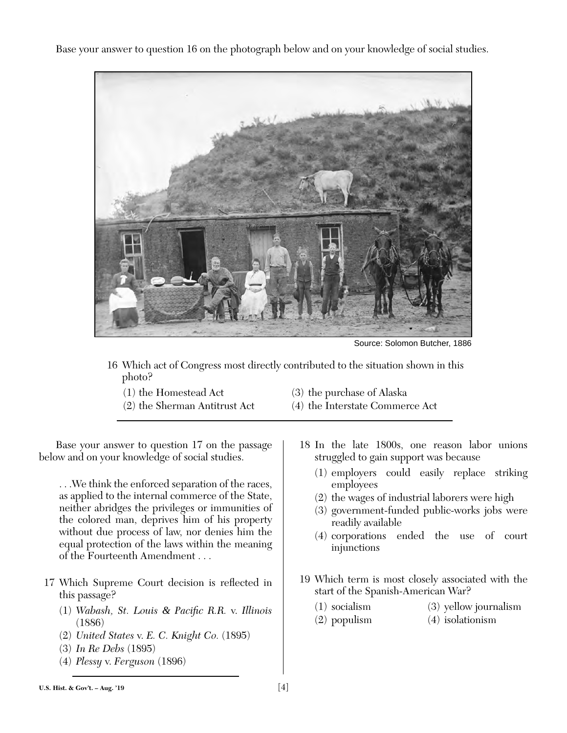Base your answer to question 16 on the photograph below and on your knowledge of social studies.



Source: Solomon Butcher, 1886

- 16 Which act of Congress most directly contributed to the situation shown in this photo?
	-
	-
	- (1) the Homestead Act (3) the purchase of Alaska
	- (2) the Sherman Antitrust Act (4) the Interstate Commerce Act

Base your answer to question 17 on the passage below and on your knowledge of social studies.

. . .We think the enforced separation of the races, as applied to the internal commerce of the State, neither abridges the privileges or immunities of the colored man, deprives him of his property without due process of law, nor denies him the equal protection of the laws within the meaning of the Fourteenth Amendment . . .

- 17 Which Supreme Court decision is reflected in this passage?
	- (1) *Wabash, St. Louis & Pacifi c R.R.* v. *Illinois*  (1886)
	- (2) *United States* v. *E. C. Knight Co.* (1895)
	- (3) *In Re Debs* (1895)
	- (4) *Plessy* v. *Ferguson* (1896)
- 
- 18 In the late 1800s, one reason labor unions
	- struggled to gain support was because
	- (1) employers could easily replace striking employees
	- (2) the wages of industrial laborers were high
	- (3) government-funded public-works jobs were readily available
	- (4) corporations ended the use of court injunctions
- 19 Which term is most closely associated with the start of the Spanish-American War?
	-
	- (1) socialism (3) yellow journalism
	- (2) populism (4) isolationism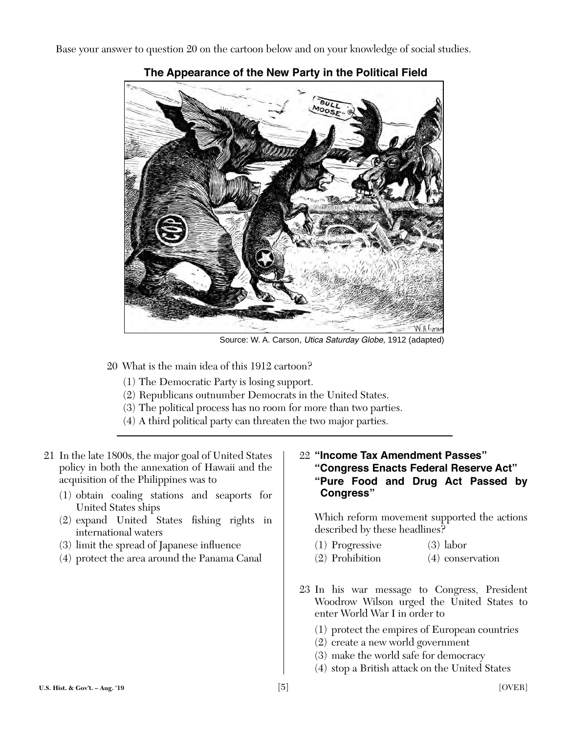Base your answer to question 20 on the cartoon below and on your knowledge of social studies.



**The Appearance of the New Party in the Political Field**

Source: W. A. Carson, Utica Saturday Globe, 1912 (adapted)

- 20 What is the main idea of this 1912 cartoon?
	- (1) The Democratic Party is losing support.
	- (2) Republicans outnumber Democrats in the United States.
	- (3) The political process has no room for more than two parties.
	- (4) A third political party can threaten the two major parties.
- 21 In the late 1800s, the major goal of United States policy in both the annexation of Hawaii and the acquisition of the Philippines was to
	- (1) obtain coaling stations and seaports for United States ships
	- $(2)$  expand United States fishing rights in international waters
	- $(3)$  limit the spread of Japanese influence
	- (4) protect the area around the Panama Canal
- 22 **"Income Tax Amendment Passes" "Congress Enacts Federal Reserve Act" "Pure Food and Drug Act Passed by Congress"**

 Which reform movement supported the actions described by these headlines?

- (1) Progressive (3) labor
- (2) Prohibition (4) conservation
- 23 In his war message to Congress, President Woodrow Wilson urged the United States to enter World War I in order to
	- (1) protect the empires of European countries
	- (2) create a new world government
	- (3) make the world safe for democracy
	- (4) stop a British attack on the United States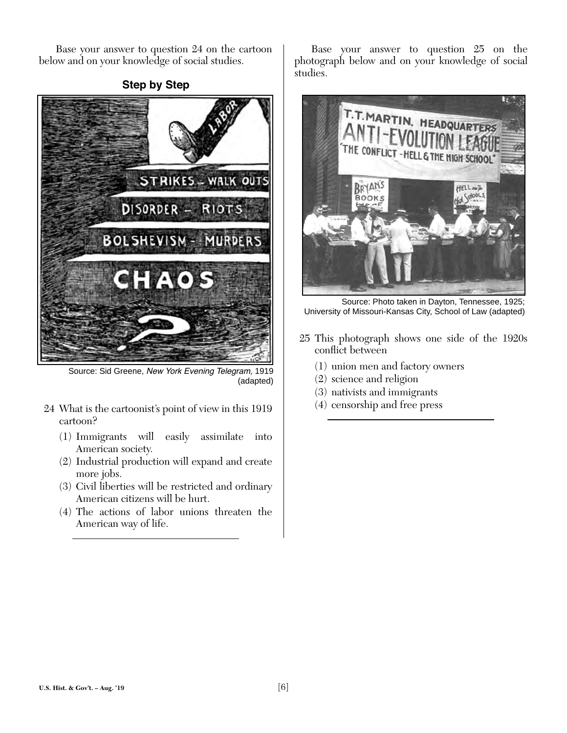Base your answer to question 24 on the cartoon below and on your knowledge of social studies.



# **Step by Step**

Source: Sid Greene, New York Evening Telegram, 1919 (adapted)

- 24 What is the cartoonist's point of view in this 1919 cartoon?
	- (1) Immigrants will easily assimilate into American society.
	- (2) Industrial production will expand and create more jobs.
	- (3) Civil liberties will be restricted and ordinary American citizens will be hurt.
	- (4) The actions of labor unions threaten the American way of life.

Base your answer to question 25 on the photograph below and on your knowledge of social studies.



Source: Photo taken in Dayton, Tennessee, 1925; University of Missouri-Kansas City, School of Law (adapted)

- 25 This photograph shows one side of the 1920s conflict between
	- (1) union men and factory owners
	- (2) science and religion
	- (3) nativists and immigrants
	- (4) censorship and free press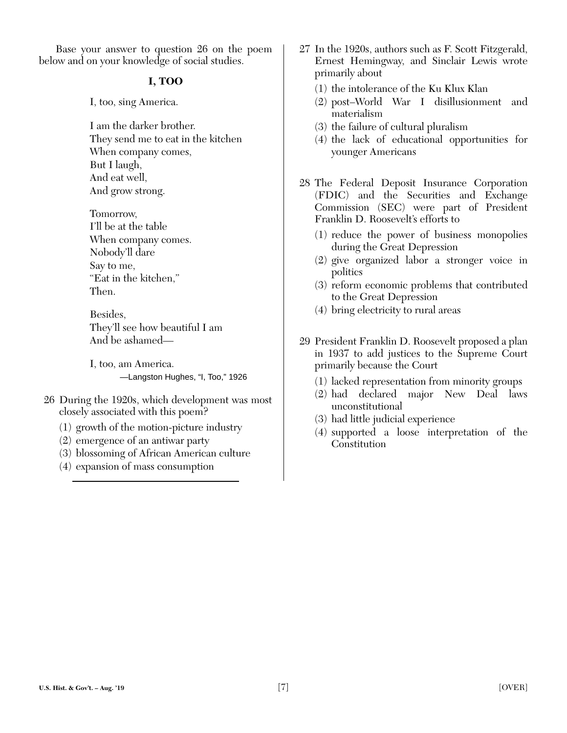Base your answer to question 26 on the poem below and on your knowledge of social studies.

# **I, TOO**

I, too, sing America.

I am the darker brother. They send me to eat in the kitchen When company comes, But I laugh, And eat well, And grow strong.

Tomorrow, I'll be at the table When company comes. Nobody'll dare Say to me, "Eat in the kitchen," Then.

Besides, They'll see how beautiful I am And be ashamed—

I, too, am America. —Langston Hughes, "I, Too," 1926

- 26 During the 1920s, which development was most closely associated with this poem?
	- (1) growth of the motion-picture industry
	- (2) emergence of an antiwar party
	- (3) blossoming of African American culture
	- (4) expansion of mass consumption
- 27 In the 1920s, authors such as F. Scott Fitzgerald, Ernest Hemingway, and Sinclair Lewis wrote primarily about
	- (1) the intolerance of the Ku Klux Klan
	- (2) post–World War I disillusionment and materialism
	- (3) the failure of cultural pluralism
	- (4) the lack of educational opportunities for younger Americans
- 28 The Federal Deposit Insurance Corporation (FDIC) and the Securities and Exchange Commission (SEC) were part of President Franklin D. Roosevelt's efforts to
	- (1) reduce the power of business monopolies during the Great Depression
	- (2) give organized labor a stronger voice in politics
	- (3) reform economic problems that contributed to the Great Depression
	- (4) bring electricity to rural areas
- 29 President Franklin D. Roosevelt proposed a plan in 1937 to add justices to the Supreme Court primarily because the Court
	- (1) lacked representation from minority groups
	- (2) had declared major New Deal laws unconstitutional
	- (3) had little judicial experience
	- (4) supported a loose interpretation of the Constitution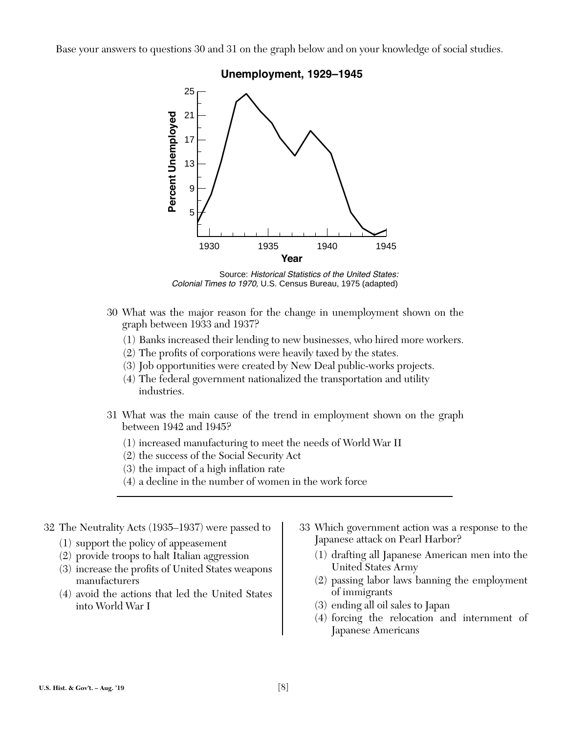Base your answers to questions 30 and 31 on the graph below and on your knowledge of social studies.



#### **Unemployment, 1929–1945**

Source: Historical Statistics of the United States: Colonial Times to 1970, U.S. Census Bureau, 1975 (adapted)

- 30 What was the major reason for the change in unemployment shown on the graph between 1933 and 1937?
	- (1) Banks increased their lending to new businesses, who hired more workers.
	- $(2)$  The profits of corporations were heavily taxed by the states.
	- (3) Job opportunities were created by New Deal public-works projects.
	- (4) The federal government nationalized the transportation and utility industries.
- 31 What was the main cause of the trend in employment shown on the graph between 1942 and 1945?
	- (1) increased manufacturing to meet the needs of World War II
	- (2) the success of the Social Security Act
	- $(3)$  the impact of a high inflation rate
	- (4) a decline in the number of women in the work force
- 32 The Neutrality Acts (1935–1937) were passed to
	- (1) support the policy of appeasement
	- (2) provide troops to halt Italian aggression
	- $(3)$  increase the profits of United States weapons manufacturers
	- (4) avoid the actions that led the United States into World War I
- 33 Which government action was a response to the Japanese attack on Pearl Harbor?
	- (1) drafting all Japanese American men into the United States Army
	- (2) passing labor laws banning the employment of immigrants
	- (3) ending all oil sales to Japan
	- (4) forcing the relocation and internment of Japanese Americans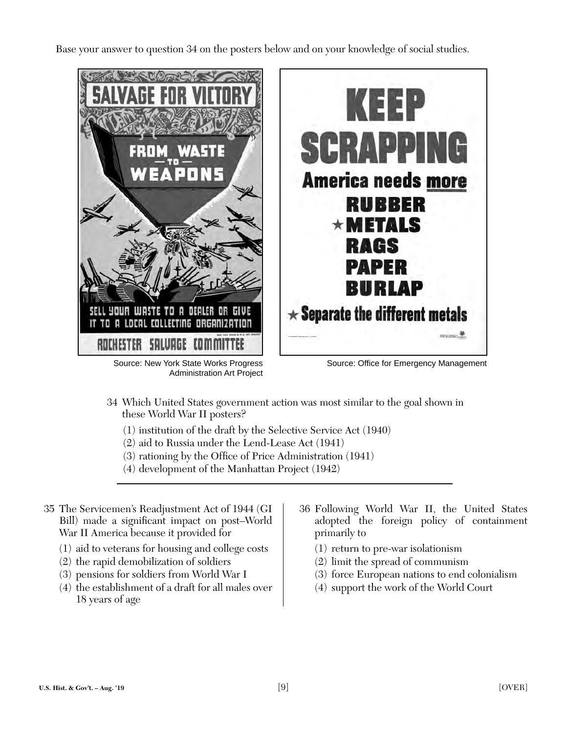Base your answer to question 34 on the posters below and on your knowledge of social studies.



- 34 Which United States government action was most similar to the goal shown in these World War II posters?
	- (1) institution of the draft by the Selective Service Act (1940)
	- (2) aid to Russia under the Lend-Lease Act (1941)
	- $(3)$  rationing by the Office of Price Administration  $(1941)$
	- (4) development of the Manhattan Project (1942)
- 35 The Servicemen's Readjustment Act of 1944 (GI Bill) made a significant impact on post-World War II America because it provided for
	- (1) aid to veterans for housing and college costs
	- (2) the rapid demobilization of soldiers
	- (3) pensions for soldiers from World War I
	- (4) the establishment of a draft for all males over 18 years of age
- 36 Following World War II, the United States adopted the foreign policy of containment primarily to
	- (1) return to pre-war isolationism
	- (2) limit the spread of communism
	- (3) force European nations to end colonialism
	- (4) support the work of the World Court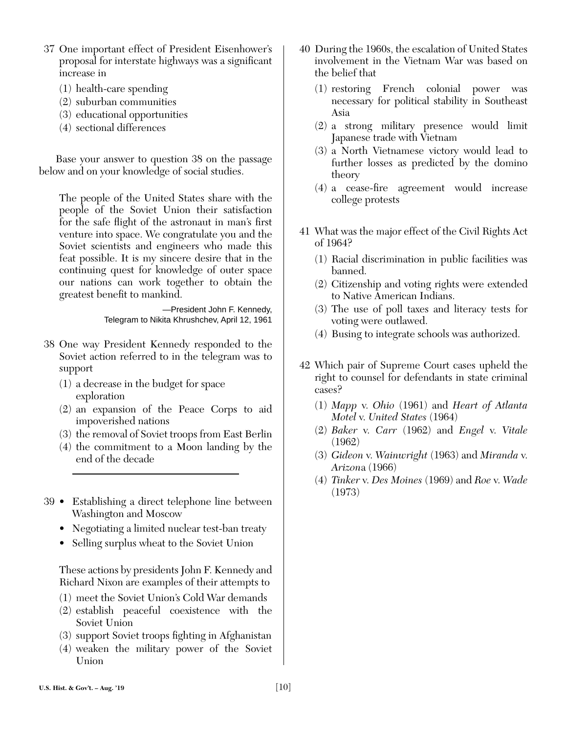- 37 One important effect of President Eisenhower's proposal for interstate highways was a significant increase in
	- (1) health-care spending
	- (2) suburban communities
	- (3) educational opportunities
	- (4) sectional differences

Base your answer to question 38 on the passage below and on your knowledge of social studies.

 The people of the United States share with the people of the Soviet Union their satisfaction for the safe flight of the astronaut in man's first venture into space. We congratulate you and the Soviet scientists and engineers who made this feat possible. It is my sincere desire that in the continuing quest for knowledge of outer space our nations can work together to obtain the greatest benefit to mankind.

> —President John F. Kennedy, Telegram to Nikita Khrushchev, April 12, 1961

- 38 One way President Kennedy responded to the Soviet action referred to in the telegram was to support
	- (1) a decrease in the budget for space exploration
	- (2) an expansion of the Peace Corps to aid impoverished nations
	- (3) the removal of Soviet troops from East Berlin
	- (4) the commitment to a Moon landing by the end of the decade
- 39 Establishing a direct telephone line between Washington and Moscow
	- Negotiating a limited nuclear test-ban treaty
	- Selling surplus wheat to the Soviet Union

 These actions by presidents John F. Kennedy and Richard Nixon are examples of their attempts to

- (1) meet the Soviet Union's Cold War demands
- (2) establish peaceful coexistence with the Soviet Union
- (3) support Soviet troops fighting in Afghanistan
- (4) weaken the military power of the Soviet Union
- 40 During the 1960s, the escalation of United States involvement in the Vietnam War was based on the belief that
	- (1) restoring French colonial power was necessary for political stability in Southeast Asia
	- (2) a strong military presence would limit Japanese trade with Vietnam
	- (3) a North Vietnamese victory would lead to further losses as predicted by the domino theory
	- $(4)$  a cease-fire agreement would increase college protests
- 41 What was the major effect of the Civil Rights Act of 1964?
	- (1) Racial discrimination in public facilities was banned.
	- (2) Citizenship and voting rights were extended to Native American Indians.
	- (3) The use of poll taxes and literacy tests for voting were outlawed.
	- (4) Busing to integrate schools was authorized.
- 42 Which pair of Supreme Court cases upheld the right to counsel for defendants in state criminal cases?
	- (1) *Mapp* v. *Ohio* (1961) and *Heart of Atlanta Motel* v. *United States* (1964)
	- (2) *Baker* v. *Carr* (1962) and *Engel* v. *Vitale*  (1962)
	- (3) *Gideon* v. *Wainwright* (1963) and *Miranda* v. *Arizon*a (1966)
	- (4) *Tinker* v. *Des Moines* (1969) and *Roe* v. *Wade*  (1973)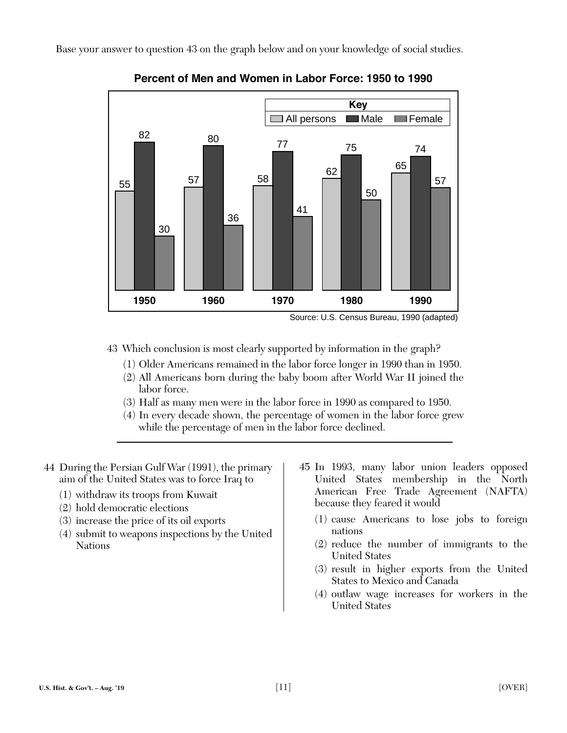Base your answer to question 43 on the graph below and on your knowledge of social studies.



**Percent of Men and Women in Labor Force: 1950 to 1990**

43 Which conclusion is most clearly supported by information in the graph?

- (1) Older Americans remained in the labor force longer in 1990 than in 1950.
- (2) All Americans born during the baby boom after World War II joined the labor force.
- (3) Half as many men were in the labor force in 1990 as compared to 1950.
- (4) In every decade shown, the percentage of women in the labor force grew while the percentage of men in the labor force declined.
- 44 During the Persian Gulf War (1991), the primary aim of the United States was to force Iraq to
	- (1) withdraw its troops from Kuwait
	- (2) hold democratic elections
	- (3) increase the price of its oil exports
	- (4) submit to weapons inspections by the United Nations
- 45 In 1993, many labor union leaders opposed United States membership in the North American Free Trade Agreement (NAFTA) because they feared it would
	- (1) cause Americans to lose jobs to foreign nations
	- (2) reduce the number of immigrants to the United States
	- (3) result in higher exports from the United States to Mexico and Canada
	- (4) outlaw wage increases for workers in the United States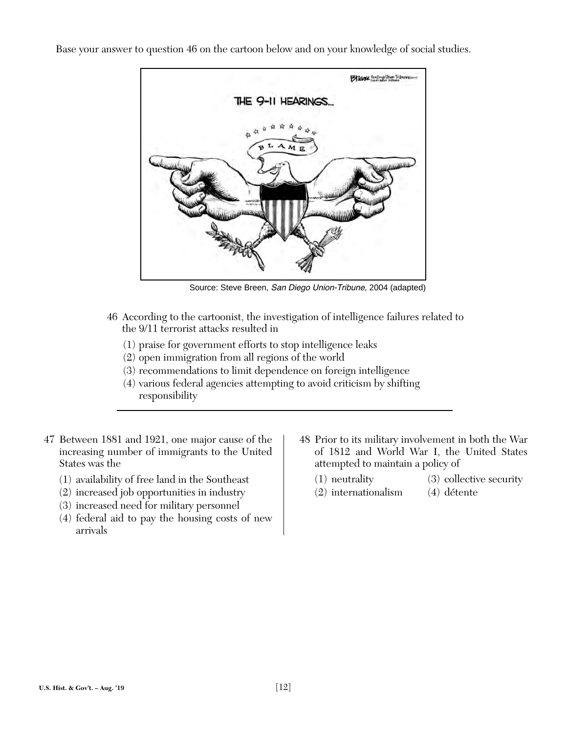Base your answer to question 46 on the cartoon below and on your knowledge of social studies.



Source: Steve Breen, San Diego Union-Tribune, 2004 (adapted)

- 46 According to the cartoonist, the investigation of intelligence failures related to the 9/11 terrorist attacks resulted in
	- (1) praise for government efforts to stop intelligence leaks
	- (2) open immigration from all regions of the world
	- (3) recommendations to limit dependence on foreign intelligence
	- (4) various federal agencies attempting to avoid criticism by shifting responsibility
- 47 Between 1881 and 1921, one major cause of the increasing number of immigrants to the United States was the
	- (1) availability of free land in the Southeast
	- (2) increased job opportunities in industry
	- (3) increased need for military personnel
	- (4) federal aid to pay the housing costs of new arrivals
- 48 Prior to its military involvement in both the War of 1812 and World War I, the United States attempted to maintain a policy of
	- (1) neutrality (3) collective security
		-
	- (2) internationalism (4) détente
-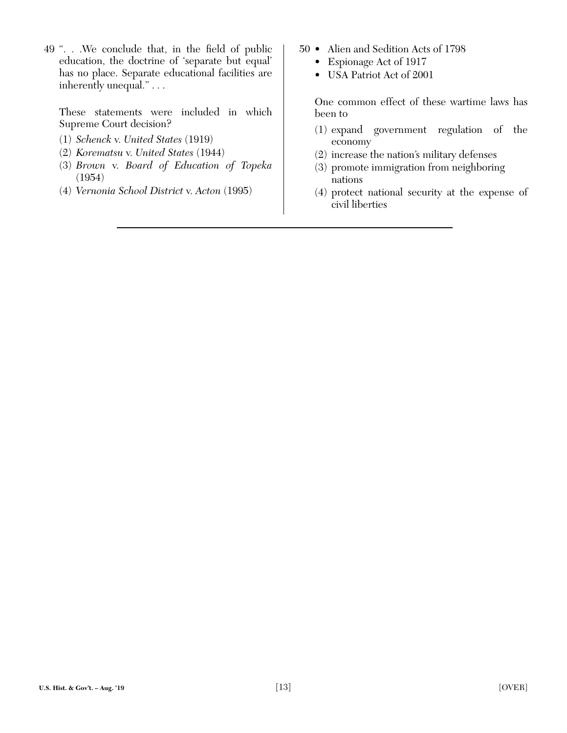49 ". . . We conclude that, in the field of public education, the doctrine of 'separate but equal' has no place. Separate educational facilities are inherently unequal." . . .

 These statements were included in which Supreme Court decision?

- (1) *Schenck* v. *United States* (1919)
- (2) *Korematsu* v. *United States* (1944)
- (3) *Brown* v. *Board of Education of Topeka*  (1954)
- (4) *Vernonia School District* v. *Acton* (1995)
- 50 Alien and Sedition Acts of 1798
	- Espionage Act of 1917
	- USA Patriot Act of 2001

 One common effect of these wartime laws has been to

- (1) expand government regulation of the economy
- (2) increase the nation's military defenses
- (3) promote immigration from neighboring nations
- (4) protect national security at the expense of civil liberties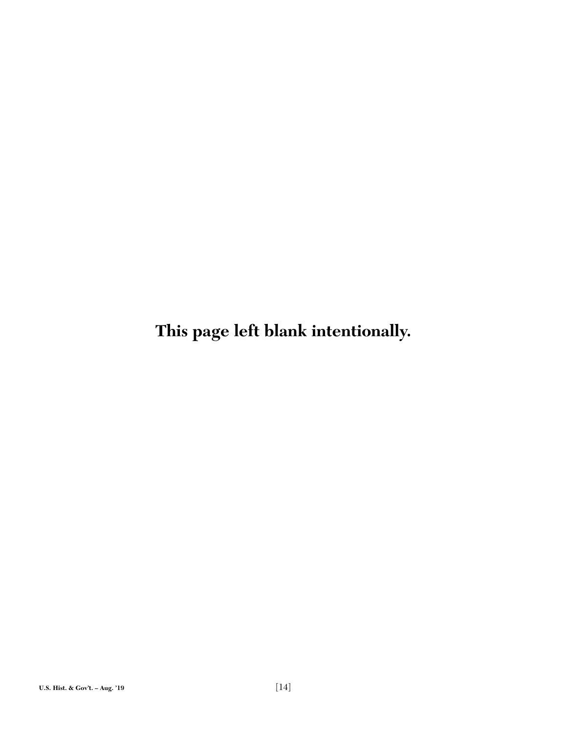**This page left blank intentionally.**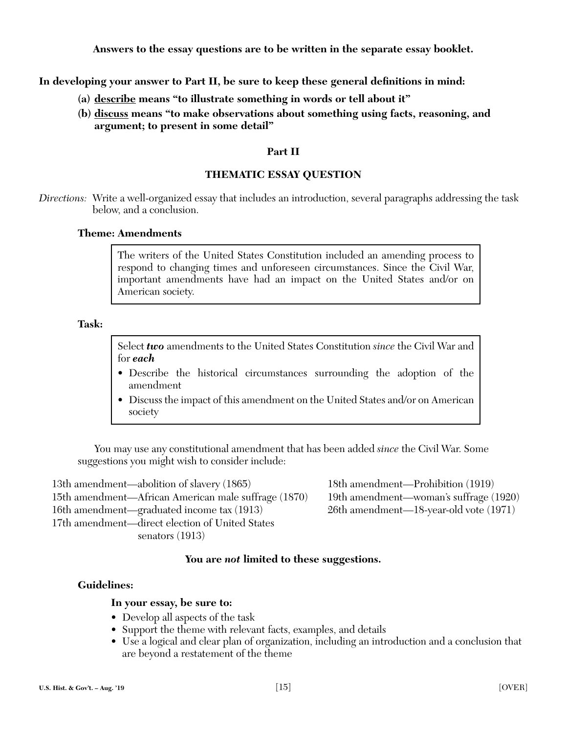**Answers to the essay questions are to be written in the separate essay booklet.**

In developing your answer to Part II, be sure to keep these general definitions in mind:

- **(a) describe means "to illustrate something in words or tell about it"**
- **(b) discuss means "to make observations about something using facts, reasoning, and argument; to present in some detail"**

# **Part II**

# **THEMATIC ESSAY QUESTION**

*Directions:* Write a well-organized essay that includes an introduction, several paragraphs addressing the task below, and a conclusion.

#### **Theme: Amendments**

The writers of the United States Constitution included an amending process to respond to changing times and unforeseen circumstances. Since the Civil War, important amendments have had an impact on the United States and/or on American society.

# **Task:**

Select *two* amendments to the United States Constitution *since* the Civil War and for *each*

- Describe the historical circumstances surrounding the adoption of the amendment
- Discuss the impact of this amendment on the United States and/or on American society

You may use any constitutional amendment that has been added *since* the Civil War. Some suggestions you might wish to consider include:

13th amendment—abolition of slavery (1865) 18th amendment—Prohibition (1919) 15th amendment—African American male suffrage (1870) 19th amendment—woman's suffrage (1920) 16th amendment—graduated income tax (1913) 26th amendment—18-year-old vote (1971) 17th amendment—direct election of United States senators (1913)

# **You are** *not* **limited to these suggestions.**

#### **Guidelines:**

#### **In your essay, be sure to:**

- Develop all aspects of the task
- Support the theme with relevant facts, examples, and details
- Use a logical and clear plan of organization, including an introduction and a conclusion that are beyond a restatement of the theme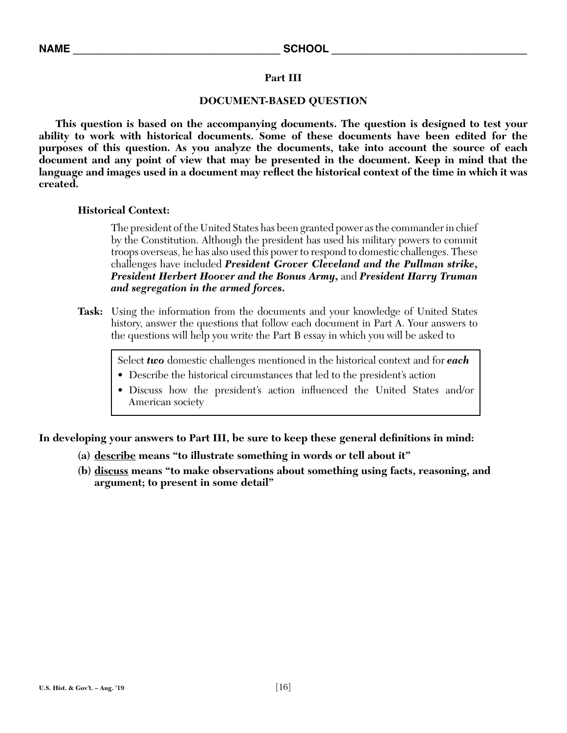# **Part III**

# **DOCUMENT-BASED QUESTION**

**This question is based on the accompanying documents. The question is designed to test your ability to work with historical documents. Some of these documents have been edited for the purposes of this question. As you analyze the documents, take into account the source of each document and any point of view that may be presented in the document. Keep in mind that the**  language and images used in a document may reflect the historical context of the time in which it was **created.**

# **Historical Context:**

The president of the United States has been granted power as the commander in chief by the Constitution. Although the president has used his military powers to commit troops overseas, he has also used this power to respond to domestic challenges. These challenges have included *President Grover Cleveland and the Pullman strike, President Herbert Hoover and the Bonus Army,* and *President Harry Truman and segregation in the armed forces.*

**Task:** Using the information from the documents and your knowledge of United States history, answer the questions that follow each document in Part A. Your answers to the questions will help you write the Part B essay in which you will be asked to

Select *two* domestic challenges mentioned in the historical context and for *each*

- Describe the historical circumstances that led to the president's action
- Discuss how the president's action influenced the United States and/or American society

In developing your answers to Part III, be sure to keep these general definitions in mind:

- **(a) describe means "to illustrate something in words or tell about it"**
- **(b) discuss means "to make observations about something using facts, reasoning, and argument; to present in some detail"**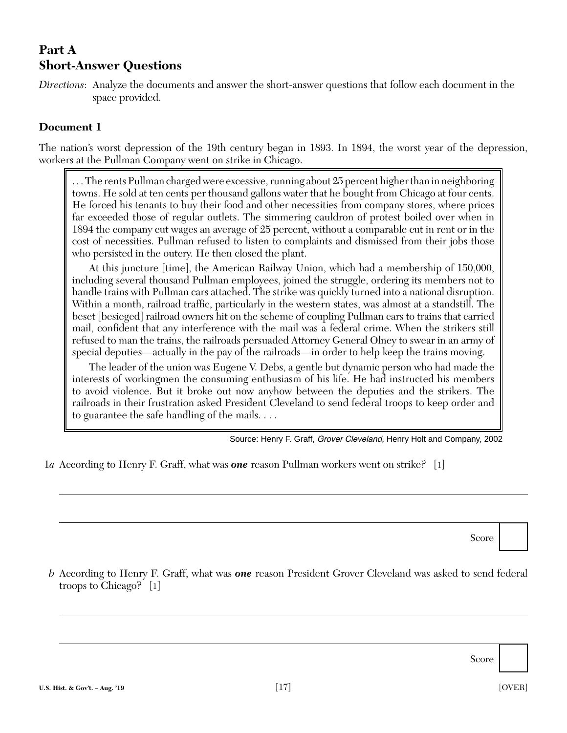# **Part A Short-Answer Questions**

*Directions*: Analyze the documents and answer the short-answer questions that follow each document in the space provided.

# **Document 1**

The nation's worst depression of the 19th century began in 1893. In 1894, the worst year of the depression, workers at the Pullman Company went on strike in Chicago.

. . . The rents Pullman charged were excessive, running about 25 percent higher than in neighboring towns. He sold at ten cents per thousand gallons water that he bought from Chicago at four cents. He forced his tenants to buy their food and other necessities from company stores, where prices far exceeded those of regular outlets. The simmering cauldron of protest boiled over when in 1894 the company cut wages an average of 25 percent, without a comparable cut in rent or in the cost of necessities. Pullman refused to listen to complaints and dismissed from their jobs those who persisted in the outcry. He then closed the plant.

 At this juncture [time], the American Railway Union, which had a membership of 150,000, including several thousand Pullman employees, joined the struggle, ordering its members not to handle trains with Pullman cars attached. The strike was quickly turned into a national disruption. Within a month, railroad traffic, particularly in the western states, was almost at a standstill. The beset [besieged] railroad owners hit on the scheme of coupling Pullman cars to trains that carried mail, confident that any interference with the mail was a federal crime. When the strikers still refused to man the trains, the railroads persuaded Attorney General Olney to swear in an army of special deputies—actually in the pay of the railroads—in order to help keep the trains moving.

 The leader of the union was Eugene V. Debs, a gentle but dynamic person who had made the interests of workingmen the consuming enthusiasm of his life. He had instructed his members to avoid violence. But it broke out now anyhow between the deputies and the strikers. The railroads in their frustration asked President Cleveland to send federal troops to keep order and to guarantee the safe handling of the mails. . . .

Source: Henry F. Graff, Grover Cleveland, Henry Holt and Company, 2002

1*a* According to Henry F. Graff, what was *one* reason Pullman workers went on strike? [1]

Score

*b* According to Henry F. Graff, what was *one* reason President Grover Cleveland was asked to send federal troops to Chicago? [1]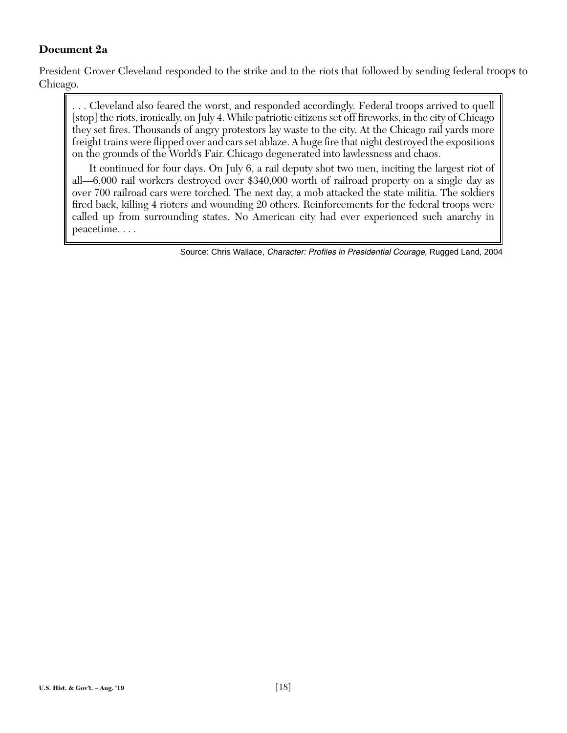# **Document 2a**

President Grover Cleveland responded to the strike and to the riots that followed by sending federal troops to Chicago.

. . . Cleveland also feared the worst, and responded accordingly. Federal troops arrived to quell [stop] the riots, ironically, on July 4. While patriotic citizens set off fireworks, in the city of Chicago they set fires. Thousands of angry protestors lay waste to the city. At the Chicago rail yards more freight trains were flipped over and cars set ablaze. A huge fire that night destroyed the expositions on the grounds of the World's Fair. Chicago degenerated into lawlessness and chaos.

 It continued for four days. On July 6, a rail deputy shot two men, inciting the largest riot of all—6,000 rail workers destroyed over \$340,000 worth of railroad property on a single day as over 700 railroad cars were torched. The next day, a mob attacked the state militia. The soldiers fired back, killing 4 rioters and wounding 20 others. Reinforcements for the federal troops were called up from surrounding states. No American city had ever experienced such anarchy in peacetime. . . .

Source: Chris Wallace, Character: Profiles in Presidential Courage, Rugged Land, 2004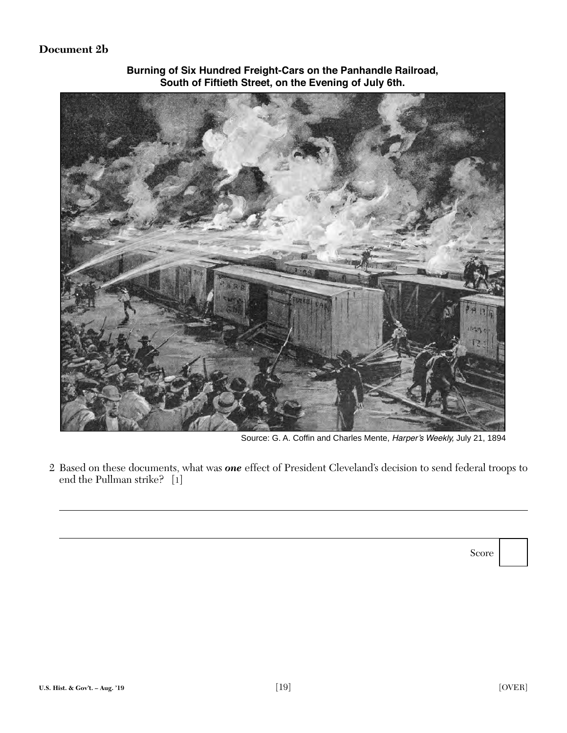# **Document 2b**



**Burning of Six Hundred Freight-Cars on the Panhandle Railroad, South of Fiftieth Street, on the Evening of July 6th.**

Source: G. A. Coffin and Charles Mente, Harper's Weekly, July 21, 1894

 2 Based on these documents, what was *one* effect of President Cleveland's decision to send federal troops to end the Pullman strike? [1]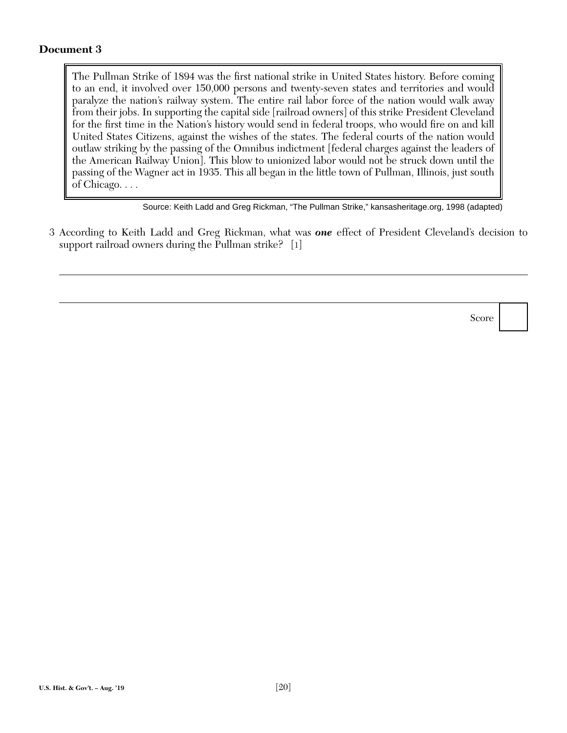# **Document 3**

The Pullman Strike of 1894 was the first national strike in United States history. Before coming to an end, it involved over 150,000 persons and twenty-seven states and territories and would paralyze the nation's railway system. The entire rail labor force of the nation would walk away from their jobs. In supporting the capital side [railroad owners] of this strike President Cleveland for the first time in the Nation's history would send in federal troops, who would fire on and kill United States Citizens, against the wishes of the states. The federal courts of the nation would outlaw striking by the passing of the Omnibus indictment [federal charges against the leaders of the American Railway Union]. This blow to unionized labor would not be struck down until the passing of the Wagner act in 1935. This all began in the little town of Pullman, Illinois, just south of Chicago. . . .

Source: Keith Ladd and Greg Rickman, "The Pullman Strike," kansasheritage.org, 1998 (adapted)

 3 According to Keith Ladd and Greg Rickman, what was *one* effect of President Cleveland's decision to support railroad owners during the Pullman strike? [1]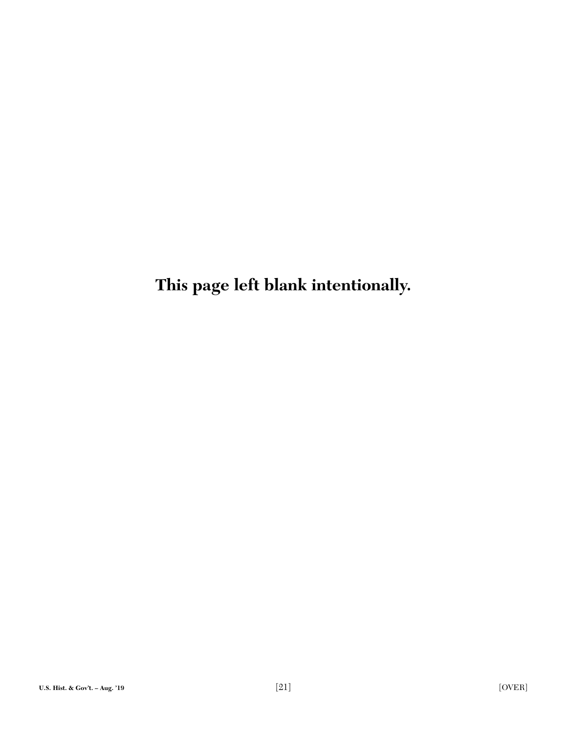**This page left blank intentionally.**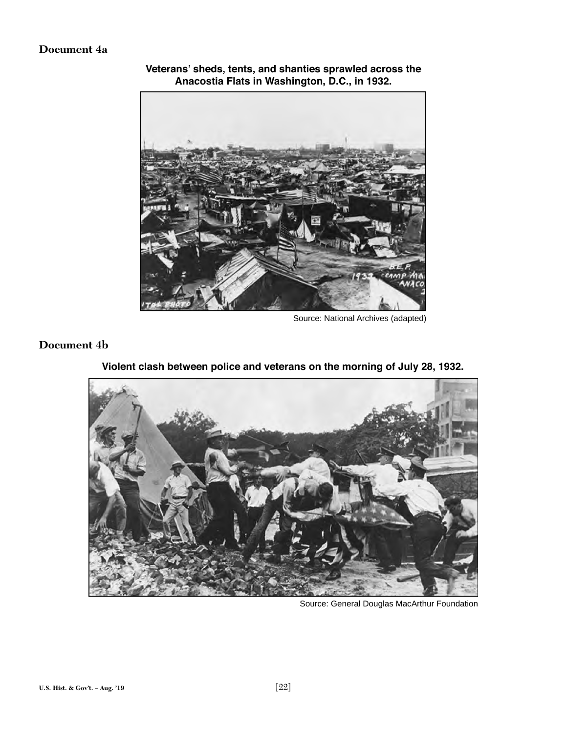# **Document 4a**



**Veterans· sheds, tents, and shanties sprawled across the Anacostia Flats in Washington, D.C., in 1932.**

Source: National Archives (adapted)

# **Document 4b**



**Violent clash between police and veterans on the morning of July 28, 1932.**

Source: General Douglas MacArthur Foundation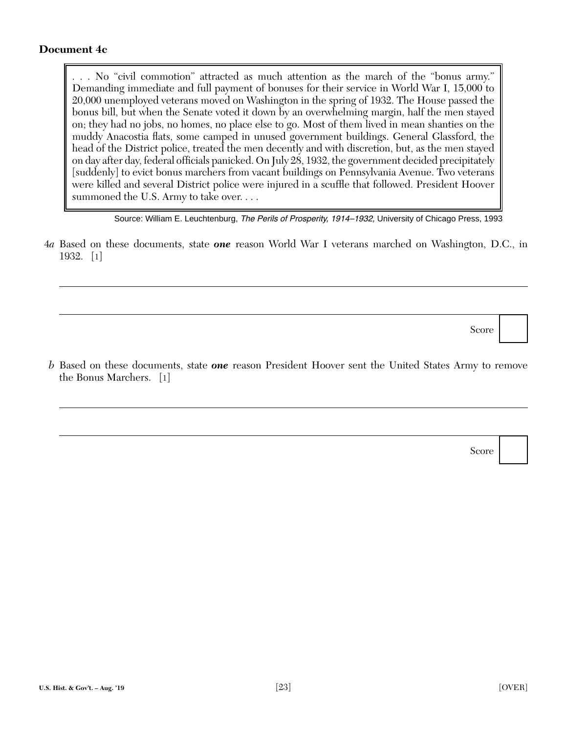. . . No "civil commotion" attracted as much attention as the march of the "bonus army." Demanding immediate and full payment of bonuses for their service in World War I, 15,000 to 20,000 unemployed veterans moved on Washington in the spring of 1932. The House passed the bonus bill, but when the Senate voted it down by an overwhelming margin, half the men stayed on; they had no jobs, no homes, no place else to go. Most of them lived in mean shanties on the muddy Anacostia flats, some camped in unused government buildings. General Glassford, the head of the District police, treated the men decently and with discretion, but, as the men stayed on day after day, federal officials panicked. On July 28, 1932, the government decided precipitately [suddenly] to evict bonus marchers from vacant buildings on Pennsylvania Avenue. Two veterans were killed and several District police were injured in a scuffle that followed. President Hoover summoned the U.S. Army to take over. . . .

Source: William E. Leuchtenburg, The Perils of Prosperity, 1914–1932, University of Chicago Press, 1993

 4*a* Based on these documents, state *one* reason World War I veterans marched on Washington, D.C., in 1932. [1]

Score

*b* Based on these documents, state *one* reason President Hoover sent the United States Army to remove the Bonus Marchers. [1]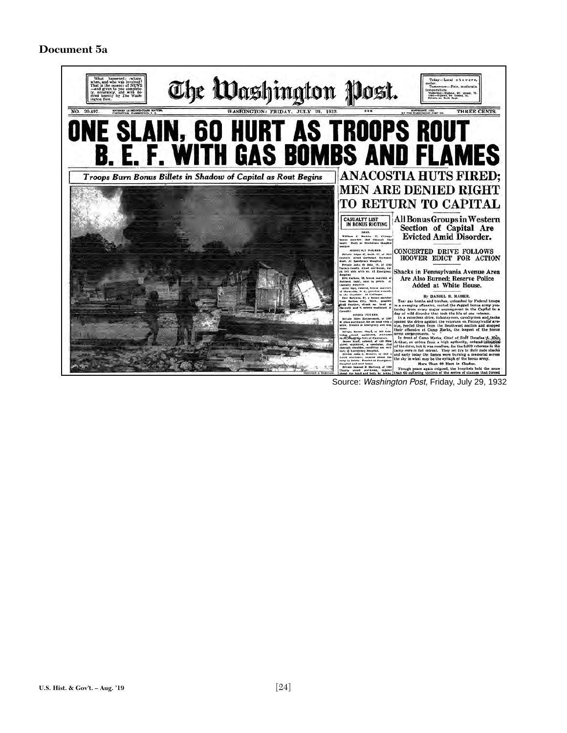#### **Document 5a**

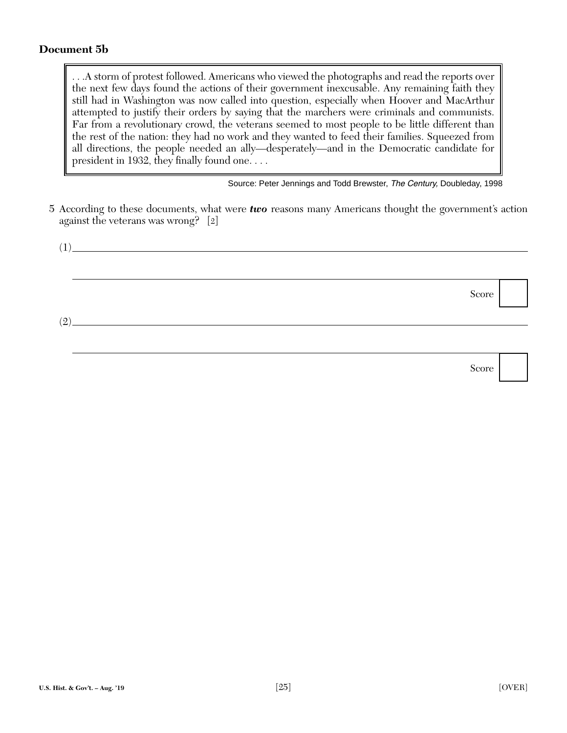# **Document 5b**

. . .A storm of protest followed. Americans who viewed the photographs and read the reports over the next few days found the actions of their government inexcusable. Any remaining faith they still had in Washington was now called into question, especially when Hoover and MacArthur attempted to justify their orders by saying that the marchers were criminals and communists. Far from a revolutionary crowd, the veterans seemed to most people to be little different than the rest of the nation: they had no work and they wanted to feed their families. Squeezed from all directions, the people needed an ally—desperately—and in the Democratic candidate for president in 1932, they finally found one.  $\dots$ 

Source: Peter Jennings and Todd Brewster, The Century, Doubleday, 1998

 5 According to these documents, what were *two* reasons many Americans thought the government's action against the veterans was wrong? [2]

| -   |       |  |
|-----|-------|--|
|     |       |  |
|     | Score |  |
| (2) |       |  |
|     |       |  |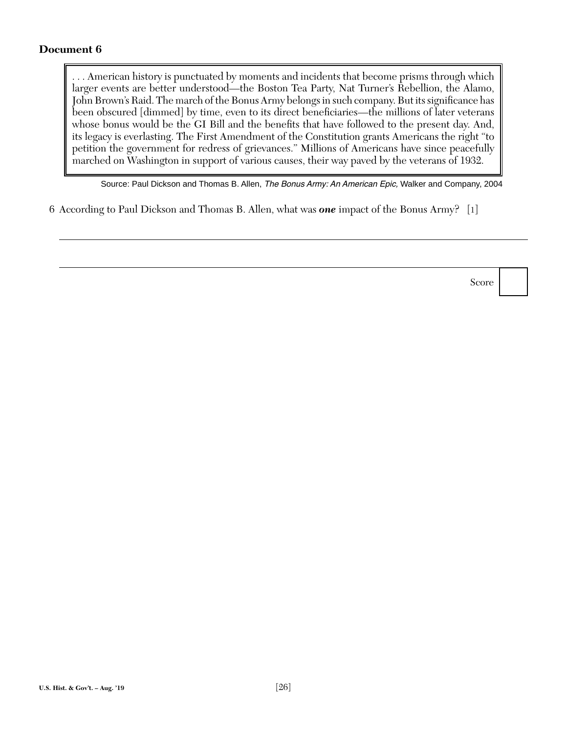# **Document 6**

. . . American history is punctuated by moments and incidents that become prisms through which larger events are better understood—the Boston Tea Party, Nat Turner's Rebellion, the Alamo, John Brown's Raid. The march of the Bonus Army belongs in such company. But its significance has been obscured [dimmed] by time, even to its direct beneficiaries—the millions of later veterans whose bonus would be the GI Bill and the benefits that have followed to the present day. And, its legacy is everlasting. The First Amendment of the Constitution grants Americans the right "to petition the government for redress of grievances." Millions of Americans have since peacefully marched on Washington in support of various causes, their way paved by the veterans of 1932.

Source: Paul Dickson and Thomas B. Allen, The Bonus Army: An American Epic, Walker and Company, 2004

6 According to Paul Dickson and Thomas B. Allen, what was *one* impact of the Bonus Army? [1]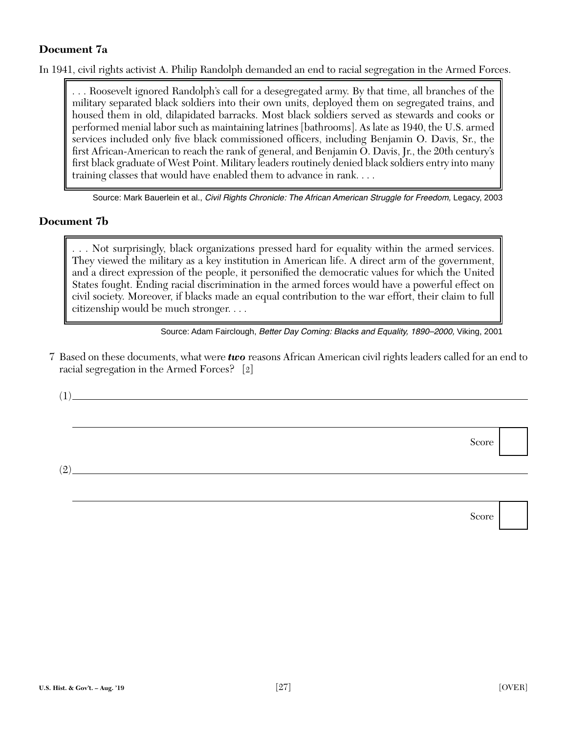# **Document 7a**

In 1941, civil rights activist A. Philip Randolph demanded an end to racial segregation in the Armed Forces.

. . . Roosevelt ignored Randolph's call for a desegregated army. By that time, all branches of the military separated black soldiers into their own units, deployed them on segregated trains, and housed them in old, dilapidated barracks. Most black soldiers served as stewards and cooks or performed menial labor such as maintaining latrines [bathrooms]. As late as 1940, the U.S. armed services included only five black commissioned officers, including Benjamin O. Davis, Sr., the first African-American to reach the rank of general, and Benjamin O. Davis, Jr., the 20th century's first black graduate of West Point. Military leaders routinely denied black soldiers entry into many training classes that would have enabled them to advance in rank. . . .

Source: Mark Bauerlein et al., Civil Rights Chronicle: The African American Struggle for Freedom, Legacy, 2003

# **Document 7b**

 $(2)$ 

 $(1)$ 

. . . Not surprisingly, black organizations pressed hard for equality within the armed services. They viewed the military as a key institution in American life. A direct arm of the government, and a direct expression of the people, it personified the democratic values for which the United States fought. Ending racial discrimination in the armed forces would have a powerful effect on civil society. Moreover, if blacks made an equal contribution to the war effort, their claim to full citizenship would be much stronger. . . .

Source: Adam Fairclough, Better Day Coming: Blacks and Equality, 1890–2000, Viking, 2001

 7 Based on these documents, what were *two* reasons African American civil rights leaders called for an end to racial segregation in the Armed Forces? [2]

Score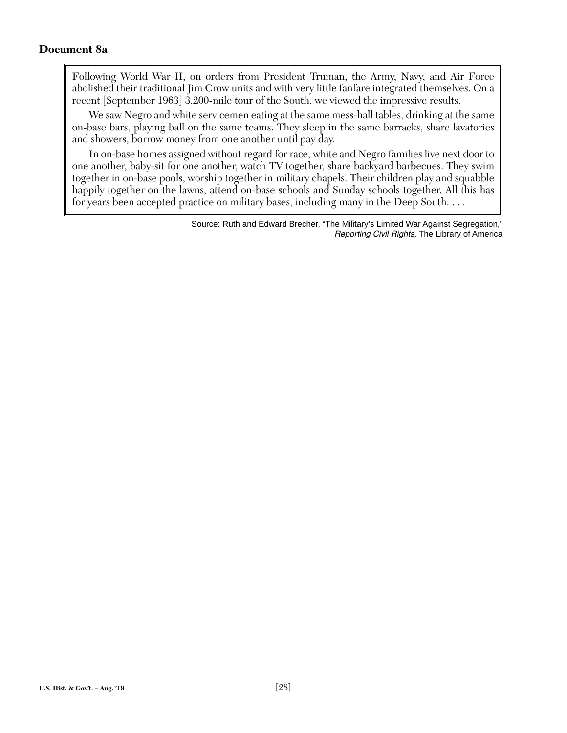# **Document 8a**

Following World War II, on orders from President Truman, the Army, Navy, and Air Force abolished their traditional Jim Crow units and with very little fanfare integrated themselves. On a recent [September 1963] 3,200-mile tour of the South, we viewed the impressive results.

 We saw Negro and white servicemen eating at the same mess-hall tables, drinking at the same on-base bars, playing ball on the same teams. They sleep in the same barracks, share lavatories and showers, borrow money from one another until pay day.

 In on-base homes assigned without regard for race, white and Negro families live next door to one another, baby-sit for one another, watch TV together, share backyard barbecues. They swim together in on-base pools, worship together in military chapels. Their children play and squabble happily together on the lawns, attend on-base schools and Sunday schools together. All this has for years been accepted practice on military bases, including many in the Deep South. . . .

> Source: Ruth and Edward Brecher, "The Military's Limited War Against Segregation," Reporting Civil Rights, The Library of America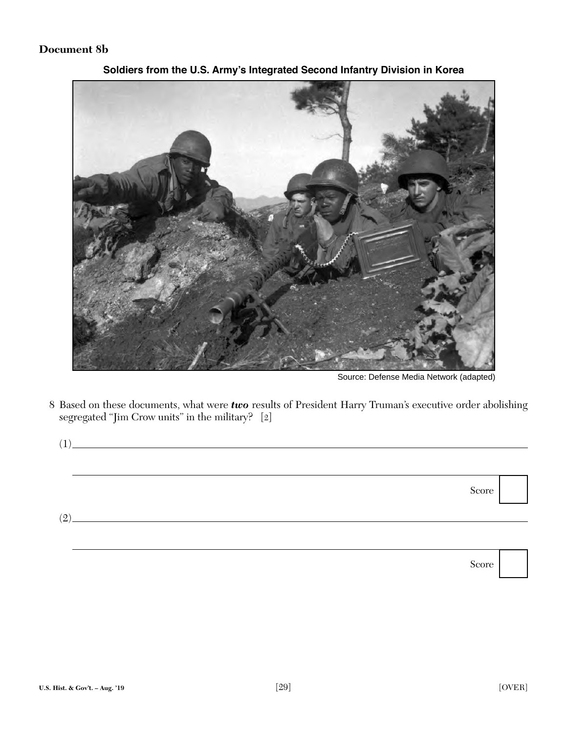# **Document 8b**



**Soldiers from the U.S. Army·s Integrated Second Infantry Division in Korea**

Source: Defense Media Network (adapted)

 8 Based on these documents, what were *two* results of President Harry Truman's executive order abolishing segregated "Jim Crow units" in the military? [2]

|     | Score |  |
|-----|-------|--|
| (2) |       |  |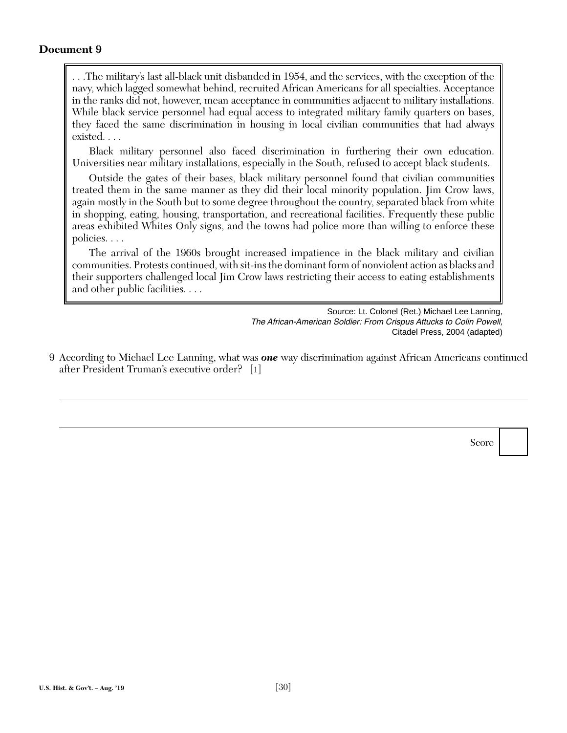# **Document 9**

. . .The military's last all-black unit disbanded in 1954, and the services, with the exception of the navy, which lagged somewhat behind, recruited African Americans for all specialties. Acceptance in the ranks did not, however, mean acceptance in communities adjacent to military installations. While black service personnel had equal access to integrated military family quarters on bases, they faced the same discrimination in housing in local civilian communities that had always existed. . . .

 Black military personnel also faced discrimination in furthering their own education. Universities near military installations, especially in the South, refused to accept black students.

 Outside the gates of their bases, black military personnel found that civilian communities treated them in the same manner as they did their local minority population. Jim Crow laws, again mostly in the South but to some degree throughout the country, separated black from white in shopping, eating, housing, transportation, and recreational facilities. Frequently these public areas exhibited Whites Only signs, and the towns had police more than willing to enforce these policies. . . .

 The arrival of the 1960s brought increased impatience in the black military and civilian communities. Protests continued, with sit-ins the dominant form of nonviolent action as blacks and their supporters challenged local Jim Crow laws restricting their access to eating establishments and other public facilities. . . .

> Source: Lt. Colonel (Ret.) Michael Lee Lanning, The African-American Soldier: From Crispus Attucks to Colin Powell, Citadel Press, 2004 (adapted)

 9 According to Michael Lee Lanning, what was *one* way discrimination against African Americans continued after President Truman's executive order? [1]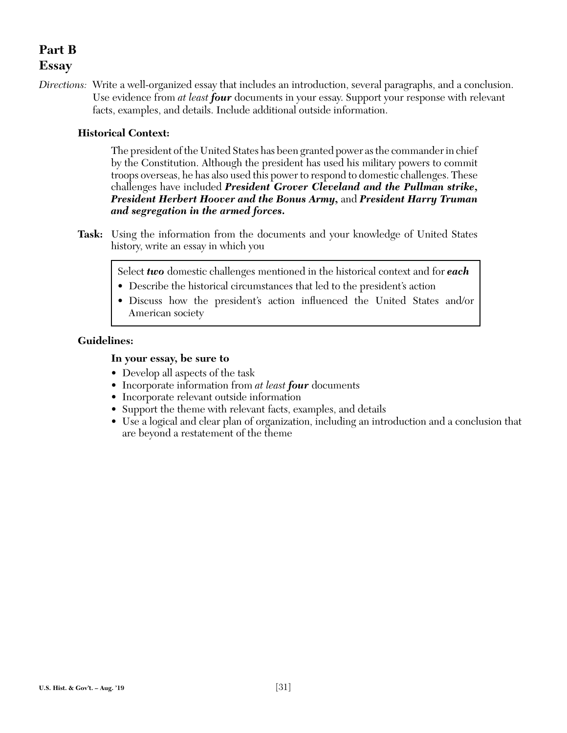# **Part B Essay**

*Directions:* Write a well-organized essay that includes an introduction, several paragraphs, and a conclusion. Use evidence from *at least four* documents in your essay. Support your response with relevant facts, examples, and details. Include additional outside information.

# **Historical Context:**

The president of the United States has been granted power as the commander in chief by the Constitution. Although the president has used his military powers to commit troops overseas, he has also used this power to respond to domestic challenges. These challenges have included *President Grover Cleveland and the Pullman strike, President Herbert Hoover and the Bonus Army,* and *President Harry Truman and segregation in the armed forces.*

**Task:** Using the information from the documents and your knowledge of United States history, write an essay in which you

Select *two* domestic challenges mentioned in the historical context and for *each*

- Describe the historical circumstances that led to the president's action
- Discuss how the president's action influenced the United States and/or American society

# **Guidelines:**

# **In your essay, be sure to**

- Develop all aspects of the task
- Incorporate information from *at least four* documents
- Incorporate relevant outside information
- Support the theme with relevant facts, examples, and details
- Use a logical and clear plan of organization, including an introduction and a conclusion that are beyond a restatement of the theme